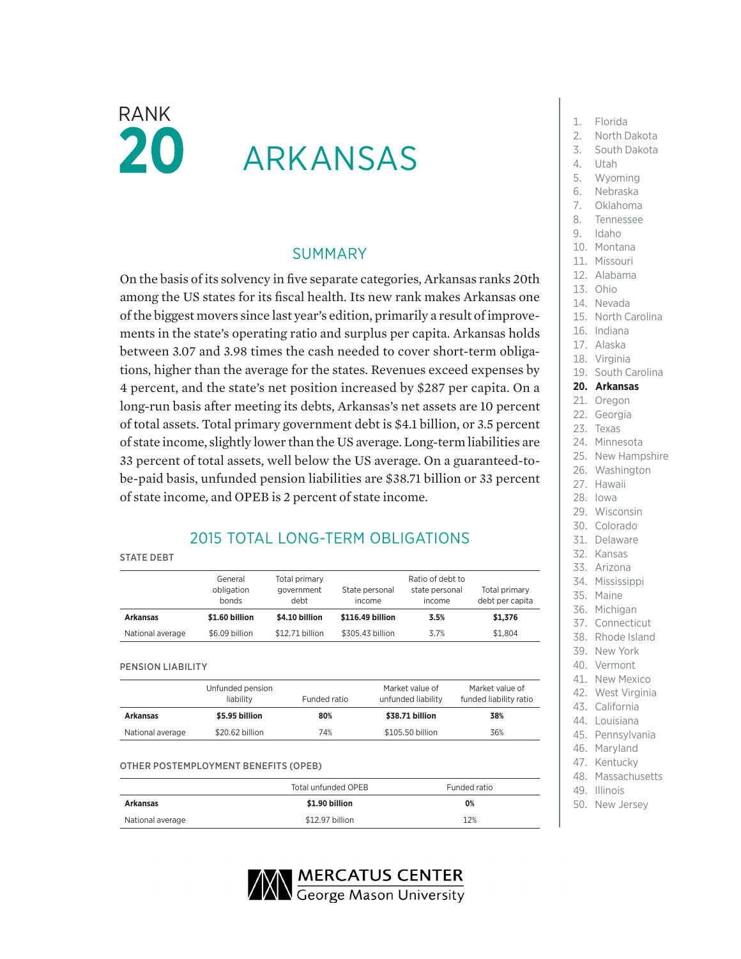# $\mathsf{RANK}$  1. Florida 20 ARKANSAS

### SUMMARY

On the basis of its solvency in five separate categories, Arkansas ranks 20th among the US states for its fiscal health. Its new rank makes Arkansas one of the biggest movers since last year's edition, primarily a result of improvements in the state's operating ratio and surplus per capita. Arkansas holds between 3.07 and 3.98 times the cash needed to cover short-term obligations, higher than the average for the states. Revenues exceed expenses by 4 percent, and the state's net position increased by \$287 per capita. On a long-run basis after meeting its debts, Arkansas's net assets are 10 percent of total assets. Total primary government debt is \$4.1 billion, or 3.5 percent of state income, slightly lower than the US average. Long-term liabilities are 33 percent of total assets, well below the US average. On a guaranteed-tobe-paid basis, unfunded pension liabilities are \$38.71 billion or 33 percent of state income, and OPEB is 2 percent of state income.

## 2015 TOTAL LONG-TERM OBLIGATIONS

|--|--|

|                  | General<br>obligation<br>bonds | Total primary<br>government<br>debt | State personal<br>income | Ratio of debt to<br>state personal<br>income | Total primary<br>debt per capita |  |
|------------------|--------------------------------|-------------------------------------|--------------------------|----------------------------------------------|----------------------------------|--|
| <b>Arkansas</b>  | \$1.60 billion                 | \$4.10 billion                      | \$116.49 billion         | 3.5%                                         | \$1,376                          |  |
| National average | \$6.09 billion                 | \$12.71 billion                     | \$305,43 billion         | 3.7%                                         | \$1.804                          |  |

PENSION LIABILITY

|                  | Unfunded pension<br>liability | Funded ratio | Market value of<br>unfunded liability | Market value of<br>funded liability ratio |
|------------------|-------------------------------|--------------|---------------------------------------|-------------------------------------------|
| <b>Arkansas</b>  | \$5.95 billion                | 80%          | \$38.71 billion                       | 38%                                       |
| National average | \$20.62 billion               | 74%          | \$105.50 billion                      | 36%                                       |

#### OTHER POSTEMPLOYMENT BENEFITS (OPEB)

|                  | Total unfunded OPEB | Funded ratio |  |  |
|------------------|---------------------|--------------|--|--|
| <b>Arkansas</b>  | \$1.90 billion      | 0%           |  |  |
| National average | \$12.97 billion     | 12%          |  |  |



- 
- 2. North Dakota
- 3. South Dakota
- 
- 4. Utah
- 5. Wyoming
- 6. Nebraska
- 7. Oklahoma
- 8. Tennessee
- 9. Idaho
- 10. Montana
- 11. Missouri
- 12. Alabama
- 13. Ohio
- 14. Nevada
- 15. North Carolina
- 16. Indiana
- 17. Alaska
- 18. Virginia
- 19. South Carolina

#### **20. Arkansas**

- 21. Oregon
- 22. Georgia
- 23. Texas
- 24. Minnesota
- 25. New Hampshire
- 26. Washington
- 27. Hawaii
- 28. Iowa
- 29. Wisconsin
- 30. Colorado
- 31. Delaware
- 32. Kansas
- 33. Arizona
- 34. Mississippi
- 
- 36. Michigan
- 37. Connecticut
- 38. Rhode Island
- 39. New York
- 40. Vermont
- 41. New Mexico
- 42. West Virginia
- 
- 44. Louisiana
- 45. Pennsylvania
- 
- 
- 
- 
- 43. California
- 
- 46. Maryland
- 47. Kentucky
- 48. Massachusetts
- 49. Illinois
- 50. New Jersey

35. Maine